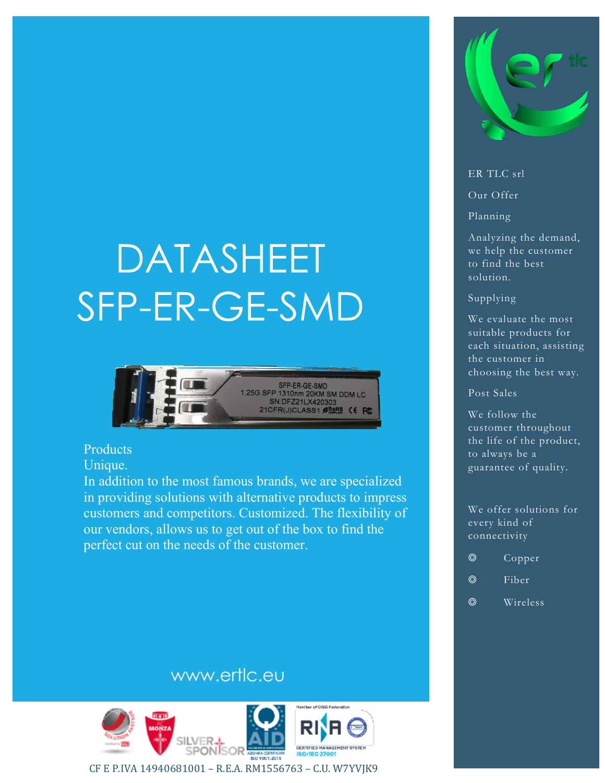# DATASHEET SFP-ER-GE-SMD



#### Products

Unique.

In addition to the most famous brands, we are specialized in providing solutions with alternative products to impress customers and competitors. Customized. The flexibility of our vendors, allows us to get out of the box to find the perfect cut on the needs of the customer.



#### ER TLC srl

Our Offer

Planning

Analyzing the demand, we help the customer to find the best solution.

#### Supplying

We evaluate the most suitable products for each situation, assisting the customer in choosing the best way.

#### Post Sales

We follow the customer throughout the life of the product, to always be a guarantee of quality.

We offer solutions for every kind of connectivity

- ◎ Fiber
- ◎ Wireless

## www.ertlc.eu



CF E P.IVA 14940681001 – R.E.A. RM1556763 – C.U. W7YVJK9